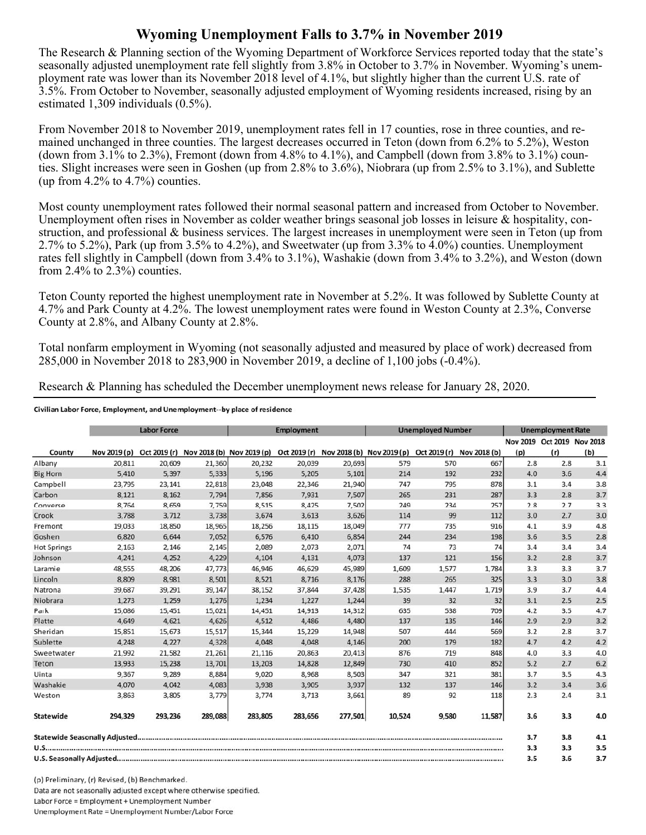## **Wyoming Unemployment Falls to 3.7% in November 2019**

The Research & Planning section of the Wyoming Department of Workforce Services reported today that the state's seasonally adjusted unemployment rate fell slightly from 3.8% in October to 3.7% in November. Wyoming's unemployment rate was lower than its November 2018 level of 4.1%, but slightly higher than the current U.S. rate of 3.5%. From October to November, seasonally adjusted employment of Wyoming residents increased, rising by an estimated 1,309 individuals (0.5%).

From November 2018 to November 2019, unemployment rates fell in 17 counties, rose in three counties, and remained unchanged in three counties. The largest decreases occurred in Teton (down from 6.2% to 5.2%), Weston (down from  $3.1\%$  to  $2.3\%$ ), Fremont (down from  $4.8\%$  to  $4.1\%$ ), and Campbell (down from  $3.8\%$  to  $3.1\%$ ) counties. Slight increases were seen in Goshen (up from 2.8% to 3.6%), Niobrara (up from 2.5% to 3.1%), and Sublette (up from  $4.2\%$  to  $4.7\%$ ) counties.

Most county unemployment rates followed their normal seasonal pattern and increased from October to November. Unemployment often rises in November as colder weather brings seasonal job losses in leisure & hospitality, construction, and professional & business services. The largest increases in unemployment were seen in Teton (up from 2.7% to 5.2%), Park (up from 3.5% to 4.2%), and Sweetwater (up from 3.3% to 4.0%) counties. Unemployment rates fell slightly in Campbell (down from 3.4% to 3.1%), Washakie (down from 3.4% to 3.2%), and Weston (down from  $2.4\%$  to  $2.3\%$ ) counties.

Teton County reported the highest unemployment rate in November at 5.2%. It was followed by Sublette County at 4.7% and Park County at 4.2%. The lowest unemployment rates were found in Weston County at 2.3%, Converse County at 2.8%, and Albany County at 2.8%.

Total nonfarm employment in Wyoming (not seasonally adjusted and measured by place of work) decreased from 285,000 in November 2018 to 283,900 in November 2019, a decline of 1,100 jobs (-0.4%).

Research & Planning has scheduled the December unemployment news release for January 28, 2020.

## Civilian Labor Force, Employment, and Unemployment--by place of residence

|                    |              | <b>Labor Force</b> |         |                                        | <b>Employment</b> |                                        |        | <b>Unemployed Number</b> |                           |     | <b>Unemployment Rate</b> |                                   |
|--------------------|--------------|--------------------|---------|----------------------------------------|-------------------|----------------------------------------|--------|--------------------------|---------------------------|-----|--------------------------|-----------------------------------|
| County             | Nov 2019 (p) |                    |         | Oct 2019 (r) Nov 2018 (b) Nov 2019 (p) |                   | Oct 2019 (r) Nov 2018 (b) Nov 2019 (p) |        |                          | Oct 2019 (r) Nov 2018 (b) | (p) | (r)                      | Nov 2019 Oct 2019 Nov 2018<br>(b) |
| Albany             | 20,811       | 20,609             | 21,360  | 20,232                                 | 20,039            | 20,693                                 | 579    | 570                      | 667                       | 2.8 | 2.8                      | 3.1                               |
| <b>Big Horn</b>    | 5,410        | 5,397              | 5,333   | 5,196                                  | 5,205             | 5,101                                  | 214    | 192                      | 232                       | 4.0 | 3.6                      | 4.4                               |
| Campbell           | 23,795       | 23,141             | 22,818  | 23,048                                 | 22,346            | 21,940                                 | 747    | 795                      | 878                       | 3.1 | 3.4                      | 3.8                               |
| Carbon             | 8.121        | 8,162              | 7.794   | 7,856                                  | 7,931             | 7,507                                  | 265    | 231                      | 287                       | 3.3 | 2.8                      | 3.7                               |
| Converse           | 8,764        | 8,659              | 7,759   | 8,515                                  | 8,425             | 7,502                                  | 249    | 234                      | 257                       | 2.8 | 2.7                      | 3.3                               |
| Crook              | 3,788        | 3,712              | 3,738   | 3,674                                  | 3,613             | 3,626                                  | 114    | 99                       | 112                       | 3.0 | 2.7                      | 3.0                               |
| Fremont            | 19.033       | 18,850             | 18,965  | 18,256                                 | 18,115            | 18,049                                 | 777    | 735                      | 916                       | 4.1 | 3.9                      | 4.8                               |
| Goshen             | 6,820        | 6.644              | 7,052   | 6,576                                  | 6.410             | 6,854                                  | 244    | 234                      | 198                       | 3.6 | 3.5                      | 2.8                               |
| <b>Hot Springs</b> | 2,163        | 2,146              | 2,145   | 2,089                                  | 2,073             | 2,071                                  | 74     | 73                       | 74                        | 3.4 | 3.4                      | 3.4                               |
| Johnson            | 4,241        | 4,252              | 4,229   | 4,104                                  | 4,131             | 4,073                                  | 137    | 121                      | 156                       | 3.2 | 2.8                      | 3.7                               |
| Laramie            | 48,555       | 48,206             | 47.773  | 46,946                                 | 46,629            | 45,989                                 | 1,609  | 1,577                    | 1.784                     | 3.3 | 3.3                      | 3.7                               |
| Lincoln            | 8,809        | 8.981              | 8,501   | 8.521                                  | 8,716             | 8,176                                  | 288    | 265                      | 325                       | 3.3 | 3.0                      | 3.8                               |
| Natrona            | 39,687       | 39,291             | 39,147  | 38,152                                 | 37,844            | 37,428                                 | 1,535  | 1,447                    | 1,719                     | 3.9 | 3.7                      | 4.4                               |
| Niobrara           | 1,273        | 1,259              | 1,276   | 1,234                                  | 1,227             | 1,244                                  | 39     | 32                       | 32                        | 3.1 | 2.5                      | 2.5                               |
| Park               | 15,086       | 15,451             | 15,021  | 14,451                                 | 14,913            | 14,312                                 | 635    | 538                      | 709                       | 4.2 | 3.5                      | 4.7                               |
| Platte             | 4,649        | 4,621              | 4,626   | 4,512                                  | 4,486             | 4,480                                  | 137    | 135                      | 146                       | 2.9 | 2.9                      | 3.2                               |
| Sheridan           | 15,851       | 15,673             | 15,517  | 15,344                                 | 15,229            | 14,948                                 | 507    | 444                      | 569                       | 3.2 | 2.8                      | 3.7                               |
| Sublette           | 4,248        | 4,227              | 4,328   | 4,048                                  | 4,048             | 4,146                                  | 200    | 179                      | 182                       | 4.7 | 4.2                      | 4.2                               |
| Sweetwater         | 21,992       | 21,582             | 21,261  | 21,116                                 | 20,863            | 20,413                                 | 876    | 719                      | 848                       | 4.0 | 3.3                      | 4.0                               |
| Teton              | 13,933       | 15,238             | 13,701  | 13,203                                 | 14,828            | 12,849                                 | 730    | 410                      | 852                       | 5.2 | 2.7                      | 6.2                               |
| Uinta              | 9,367        | 9,289              | 8,884   | 9,020                                  | 8,968             | 8,503                                  | 347    | 321                      | 381                       | 3.7 | 3.5                      | 4.3                               |
| Washakie           | 4,070        | 4,042              | 4,083   | 3,938                                  | 3,905             | 3,937                                  | 132    | 137                      | 146                       | 3.2 | 3.4                      | 3.6                               |
| Weston             | 3,863        | 3,805              | 3,779   | 3,774                                  | 3,713             | 3,661                                  | 89     | 92                       | 118                       | 2.3 | 2.4                      | 3.1                               |
| Statewide          | 294,329      | 293,236            | 289,088 | 283,805                                | 283,656           | 277,501                                | 10,524 | 9,580                    | 11,587                    | 3.6 | 3.3                      | 4.0                               |
|                    |              |                    |         |                                        |                   |                                        |        |                          |                           | 3.7 | 3.8                      | 4.1                               |
|                    |              |                    |         |                                        |                   |                                        |        |                          |                           | 3.3 | 3.3                      | 3.5                               |
|                    |              |                    |         |                                        |                   |                                        |        |                          |                           | 3.5 | 3.6                      | 3.7                               |

(p) Preliminary, (r) Revised, (b) Benchmarked. Data are not seasonally adjusted except where otherwise specified. Labor Force = Employment + Unemployment Number Unemployment Rate = Unemployment Number/Labor Force